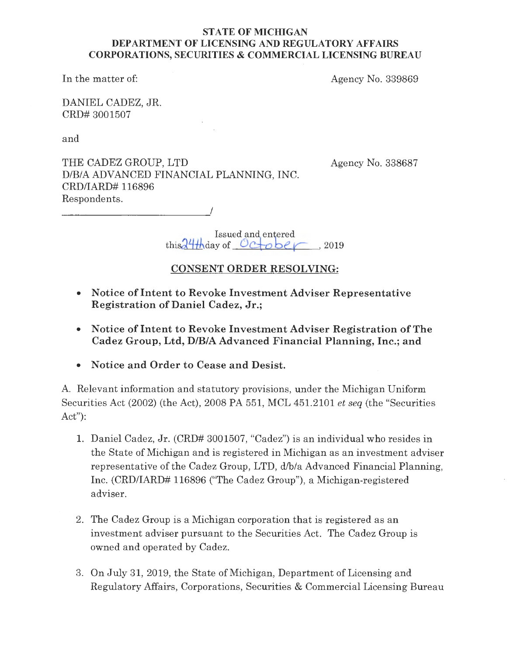## **STATE OF MICHIGAN DEPARTMENT OF LICENSING AND REGULATORY AFFAIRS CORPORATIONS, SECURITIES** & **COMMERCIAL LICENSING BUREAU**

In the matter of:

Agency No. 339869

DANIEL CADEZ, JR. CRD# 3001507

and

THE CADEZ GROUP, LTD D/B/A ADVANCED FINANCIAL PLANNING, INC. CRD/IARD# 116896 Respondents.

---------~/

Agency No. 338687

Issued and entered  $\text{this} \frac{24 \text{#} \text{day of}}{2019}$  . 2019

# **CONSENT ORDER RESOLVING:**

- **Notice of Intent to Revoke Investment Adviser Representative Registration of Daniel Cadez, Jr.;**
- **Notice of Intent to Revoke Investment Adviser Registration of The Cadez Group, Ltd, D/B/A Advanced Financial Planning, Inc.; and**
- **Notice and Order to Cease and Desist.**

A. Relevant information and statutory provisions, under the Michigan Uniform Securities Act (2002) (the Act), 2008 PA 551, MCL 451.2101 *et seq* (the "Securities Act"):

- 1. Daniel Cadez, Jr. (CRD# 3001507, "Cadez") is an individual who resides in the State of Michigan and is registered in Michigan as an investment adviser representative of the Cadez Group, LTD, d/b/a Advanced Financial Planning, Inc. (CRD/IARD# 116896 ("The Cadez Group"), a Michigan-registered adviser.
- 2. The Cadez Group is a Michigan corporation that is registered as an investment adviser pursuant to the Securities Act. The Cadez Group is owned and operated by Cadez.
- 3. On July 31, 2019, the State of Michigan, Department of Licensing and Regulatory Affairs, Corporations, Securities & Commercial Licensing Bureau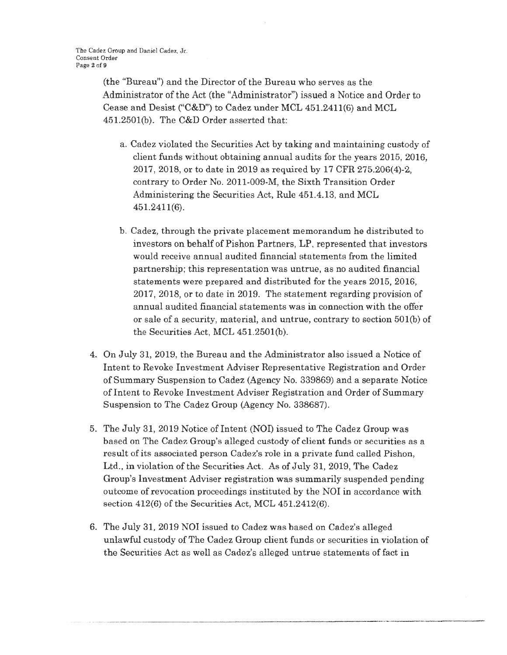(the "Bureau") and the Director of the Bureau who serves as the Administrator of the Act (the "Administrator") issued a Notice and Order to Cease and Desist ("C&D") to Cadez under MCL 451.2411(6) and MCL  $451.2501(b)$ . The C&D Order asserted that:

- a. Cadez violated the Securities Act by taking and maintaining custody of client funds without obtaining annual audits for the years 2015, 2016, 2017, 2018, or to date in 2019 as required by 17 CFR 275.206(4)-2, contrary to Order No. 2011-009-M, the Sixth Transition Order Administering the Securities Act, Rule 451.4.13, and MCL 451.2411(6).
- b. Cadez, through the private placement memorandum he distributed to investors on behalf of Pishon Partners, LP, represented that investors would receive annual audited financial statements from the limited partnership; this representation was untrue, as no audited financial statements were prepared and distributed for the years 2015, 2016, 2017, 2018, or to date in 2019. The statement regarding provision of annual audited financial statements was in connection with the offer or sale of a security, material, and untrue, contrary to section 501(b) of the Securities Act, MCL 451.2501(b).
- 4. On July 31, 2019, the Bureau and the Administrator also issued a Notice of Intent to Revoke Investment Adviser Representative Registration and Order of Summary Suspension to Cadez (Agency No. 339869) and a separate Notice of Intent to Revoke Investment Adviser Registration and Order of Summary Suspension to The Cadez Group (Agency No. 338687).
- 5. The July 31, 2019 Notice of Intent (NOI) issued to The Cadez Group was based on The Cadez Group's alleged custody of client funds or securities as a result of its associated person Cadez's role in a private fund called Pishon, Ltd., in violation of the Securities Act. As of July 31, 2019, The Cadez Group's Investment Adviser registration was summarily suspended pending outcome of revocation proceedings instituted by the NOI in accordance with section 412(6) of the Securities Act, MCL 451.2412(6).
- 6. The July 31, 2019 NOI issued to Cadez was based on Cadez's alleged unlawful custody of The Cadez Group client funds or securities in violation of the Securities Act as well as Cadez's alleged untrue statements of fact in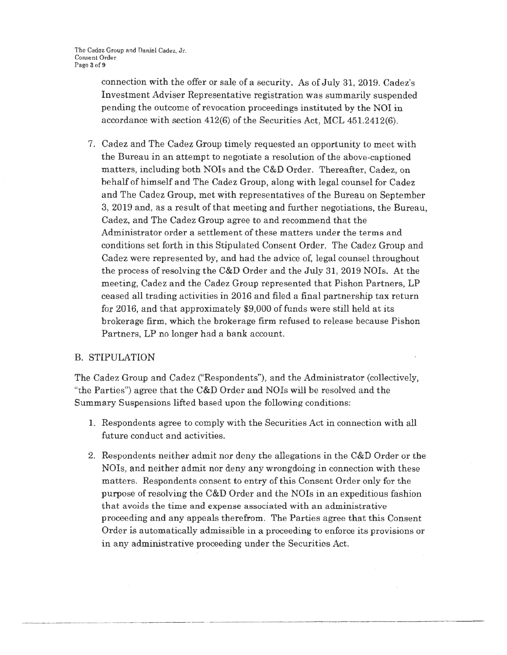connection with the offer or sale of a security. As of July 31, 2019. Cadez's Investment Adviser Representative registration was summaxily suspended pending the outcome of revocation proceedings instituted by the NOI in accordance with section 412(6) of the Securities Act, MCL 451.2412(6).

7. Cadez and The Cadez Group timely requested an opportunity to meet with the Bureau in an attempt to negotiate a resolution of the above-captioned matters, including both NOis and the C&D Order. Thereafter, Cadez, on behalf of himself and The Cadez Group, along with legal counsel for Cadez and The Cadez Group, met with representatives of the Bureau on September 3, 2019 and, as a result of that meeting and further negotiations, the Bureau, Cadez, and The Cadez Group agree to and recommend that the Administrator order a settlement of these matters under the terms and conditions set forth in this Stipulated Consent Order. The Cadez Group and Cadez were represented by, and had the advice of, legal counsel throughout the process of resolving the C&D Order and the July 31, 2019 NOIs. At the meeting, Cadez and the Cadez Group represented that Pishon Partners, LP ceased all trading activities in 2016 and filed a final partnership tax return for 2016, and that approximately \$9,000 of funds were still held at its brokerage firm, which the brokerage firm refused to release because Pishon Partners, LP no longer had a bank account.

## B. STIPULATION

The Cadez Group and Cadez ("Respondents"), and the Administrator (collectively, "the Parties") agree that the  $C&D$  Order and NOIs will be resolved and the Summary Suspensions lifted based upon the following conditions:

- 1. Respondents agree to comply with the Securities Act in connection with all future conduct and activities.
- 2. Respondents neither admit nor deny the allegations in the C&D Order or the NOis, and neither admit nor deny any wrongdoing in connection with these matters. Respondents consent to entry of this Consent Order only for the purpose of resolving the C&D Order and the NOIs in an expeditious fashion that avoids the time and expense associated with an administrative proceeding and any appeals therefrom. The Parties agree that this Consent Order is automatically admissible in a proceeding to enforce its provisions or in any administrative proceeding under the Securities Act.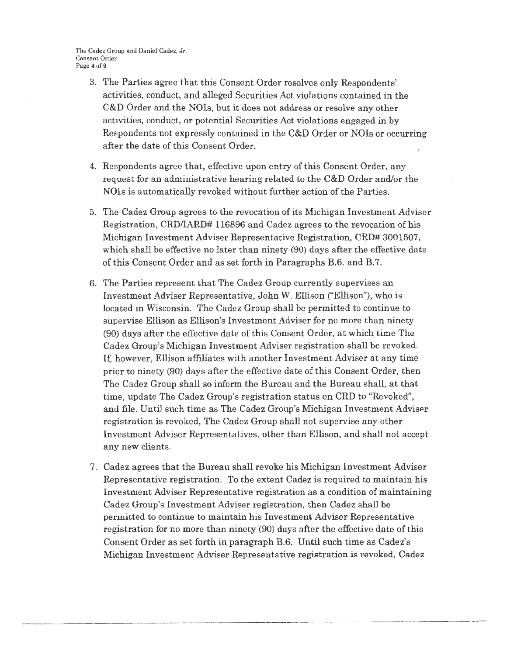The Cadez Group and Daniel Cadez, Jr, Consent Order Page 4 of 9

- 3. The Parties agree that this Consent Order resolves only Respondents' activities, conduct, and alleged Securities Act violations contained in the C&D Order and the NOIs, but it does not address or resolve any other activities, conduct, or potential Securities Act violations engaged in by Respondents not expressly contained in the C&D Order or NOis or occurring after the date of this Consent Order.
- 4. Respondents agree that, effective upon entry of this Consent Order, any request for an administrative hearing related to the C&D Order and/or the NOIs is automatically revoked without further action of the Parties.
- 5. The Cadez Group agrees to the revocation of its Michigan Investment Adviser Registration, CRD/IARD# 116896 and Cadez agrees to the revocation of his Michigan Investment Adviser Representative Registration, CRD# 3001507, which shall be effective no later than ninety (90) days after the effective date of this Consent Order and as set forth in Paragraphs B.6. and B.7.
- 6. The Parties represent that The Cadez Group currently supervises an Investment Adviser Representative, John W. Ellison ("Ellison"), who is located in Wisconsin. The Cadez Group shall be permitted to continue to supervise Ellison as Ellison's Investment Adviser for no more than ninety (90) days after the effective date of this Consent Order, at which time The Cadez Group's Michigan Investment Adviser registration shall be revoked. If, however, Ellison affiliates with another Investment Adviser at any time prior to ninety (90) days after the effective date of this Consent Order, then The Cadez Group shall so inform the Bureau and the Bureau shall, at that time, update The Cadez Group's registration status on CRD to "Revoked", and file. Until such time as The Cadez Group's Michigan Investment Adviser registration is revoked, The Cadez Group shall not supervise any other Investment Adviser Representatives, other than Ellison, and shall not accept any new clients.
- 7. Cadez agrees that the Bureau shall revoke his Michigan Investment Adviser Representative registration. To the extent Cadez is required to maintain his Investment Adviser Representative registration as a condition of maintaining Cadez Group's Investment Adviser registration, then Cadez shall be permitted to continue to maintain his Investment Adviser Representative registration for no more than ninety (90) days after the effective date of this Consent Order as set forth in paragraph B.6. Until such time as Cadez's Michigan Investment Adviser Representative registration is revoked, Cadez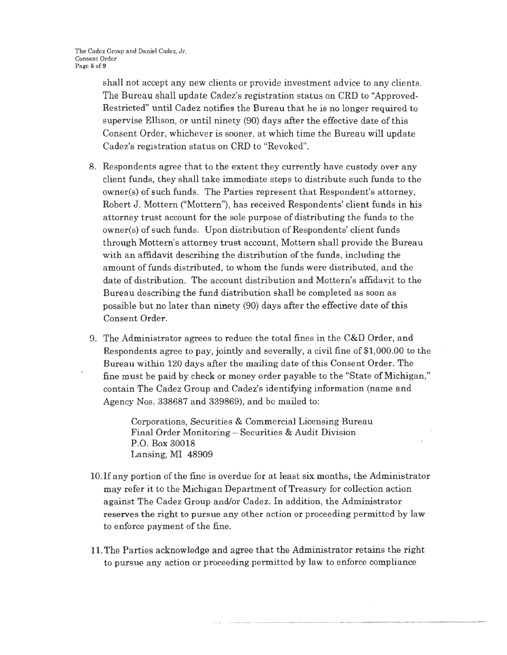shall not accept any new clients or provide investment advice to any clients. The Bureau shall update Cadez's registration status on CRD to "Approved-Restricted" until Cadez notifies the Bureau that he is no longer required to supervise Ellison, or until ninety (90) days after the effective date of this Consent Order, whichever is sooner, at which time the Bureau will update Cadez's registration status on CRD to "Revoked".

- 8. Respondents agree that to the extent they currently have custody over any client funds, they shall take immediate steps to distribute such funds to the owner(s) of such funds. The Parties represent that Respondent's attorney, Robert J. Mottern ("Mottern"), has received Respondents' client funds in his attorney trust account for the sole purpose of distributing the funds to the owner(s) of such funds. Upon distribution of Respondents' client funds through Mottern's attorney trust account, Mottern shall provide the Bureau with an affidavit describing the distribution of the funds, including the amount of funds distributed, to whom the funds were distributed, and the date of distribution. The account distribution and Mottern's affidavit to the Bureau describing the fund distribution shall be completed as soon as possible but no later than ninety (90) days after the effective date of this Consent Order.
- 9. The Administrator agrees to reduce the total fines in the C&D Order, and Respondents agree to pay, jointly and severally, a civil fine of \$1,000.00 to the Bureau within 120 days after the mailing date of this Consent Order. The fine must be paid by check or money order payable to the "State of Michigan," contain The Cadez Group and Cadez's identifying information (name and Agency Nos. 338687 and 339869), and be mailed to:

Corporations, Securities & Commercial Licensing Bureau Final Order Monitoring - Securities & Audit Division P.O. Box 30018 Lansing, MI 48909

- 10. If any portion of the fine is overdue for at least six months, the Administrator may refer it to the Michigan Department of Treasury for collection action against The Cadez Group and/or Cadez. In addition, the Administrator reserves the right to pursue any other action or proceeding permitted by law to enforce payment of the fine.
- 11. The Parties acknowledge and agree that the Administrator retains the right to pursue any action or proceeding permitted by law to enforce compliance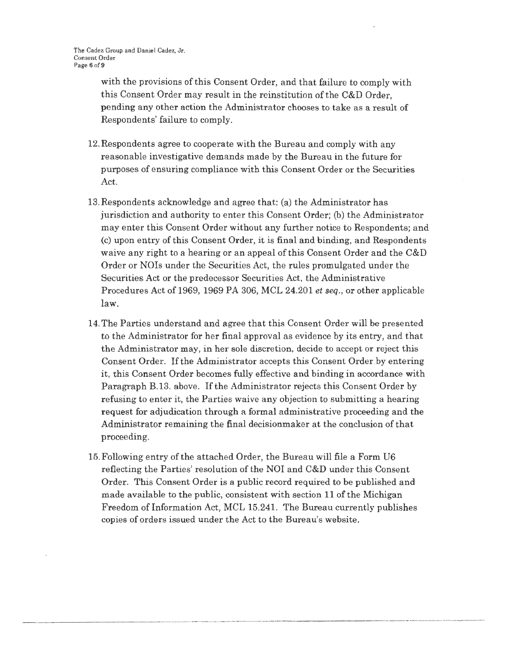with the provisions of this Consent Order, and that failure to comply with this Consent Order may result in the reinstitution of the C&D Order, pending any other action the Administrator chooses to take as a result of Respondents' failure to comply.

- 12. Respondents agree to cooperate with the Bureau and comply with any reasonable investigative demands made by the Bureau in the future for purposes of ensuring compliance with this Consent Order or the Securities Act.
- 13.Respondents acknowledge and agree that: (a) the Administrator has jurisdiction and authority to enter this Consent Order; (b) the Administrator may enter this Consent Order without any further notice to Respondents; and (c) upon entry of this Consent Order, it is final and binding, and Respondents waive any right to a hearing or an appeal of this Consent Order and the C&D Order or NOis under the Secmities Act, the rules promulgated under the Securities Act or the predecessor Securities Act, the Administrative Procedures Act of 1969, 1969 PA 306, MCL 24.201 *et seq.,* or other applicable law.
- 14. The Parties understand and agree that this Consent Order will be presented to the Administrator for her final approval as evidence by its entry, and that the Administrator may, in her sole discretion, decide to accept or reject this Consent Order. If the Administrator accepts this Consent Order by entering it, this Consent Order becomes fully effective and binding in accordance with Paragraph B.13. above. If the Administrator rejects this Consent Order by refusing to enter it, the Parties waive any objection to submitting a hearing request for adjudication through a formal administrative proceeding and the Administrator remaining the final decisionmaker at the conclusion of that proceeding.
- 15. Following entry of the attached Order, the Bureau will file a Form U6 reflecting the Parties' resolution of the NOI and C&D under this Consent Order. This Consent Order is a public record required to be published and made available to the public, consistent with section 11 of the Michigan Freedom of Information Act, MCL 15.241. The Bureau currently publishes copies of orders issued under the Act to the Bureau's website.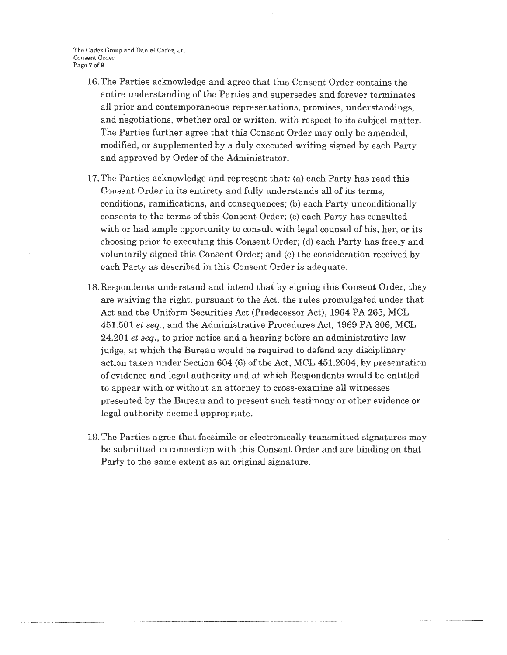The Cadez Group and Daniel Cadez, Jr. Consent Order Page 7 of 9

- 16. The Parties acknowledge and agree that this Consent Order contains the entire understanding of the Parties and supersedes and forever terminates all prior and contemporaneous representations, promises, understandings, and negotiations, whether oral or written, with respect to its subject matter. The Parties further agree that this Consent Order may only be amended, modified, or supplemented by a duly executed writing signed by each Party and approved by Order of the Administrator.
- 17. The Parties acknowledge and represent that: (a) each Party has read this Consent Order in its entirety and fully understands all of its terms, conditions, ramifications, and consequences; (b) each Party unconditionally consents to the terms of this Consent Order; (c) each Party has consulted with or had ample opportunity to consult with legal counsel of his, her, or its choosing prior to executing this Consent Order; (d) each Party has freely and voluntarily signed this Consent Order; and (e) the consideration received by each Party as described in this Consent Order is adequate.
- 18. Respondents understand and intend that by signing this Consent Order, they are waiving the right., pursuant to the Act, the rules promulgated under that Act and the Uniform Securities Act (Predecessor Act), 1964 PA 265, MCL 451.501 *et seq.,* and the Administrative Procedures Act, 1969 PA 306, MCL 24.201 *et seq.,* to prior notice and a hearing before an administrative law judge, at which the Bureau would be required to defend any disciplinary action taken under Section 604 (6) of the Act, MCL 451.2604, by presentation of evidence and legal authority and at which Respondents would be entitled to appear with or without an attorney to cross-examine all witnesses presented by the Bureau and to present such testimony or other evidence or legal authority deemed appropriate.
- 19. The Parties agree that facsimile or electronically transmitted signatures may be submitted in connection with this Consent Order and are binding on that Party to the same extent as an original signature.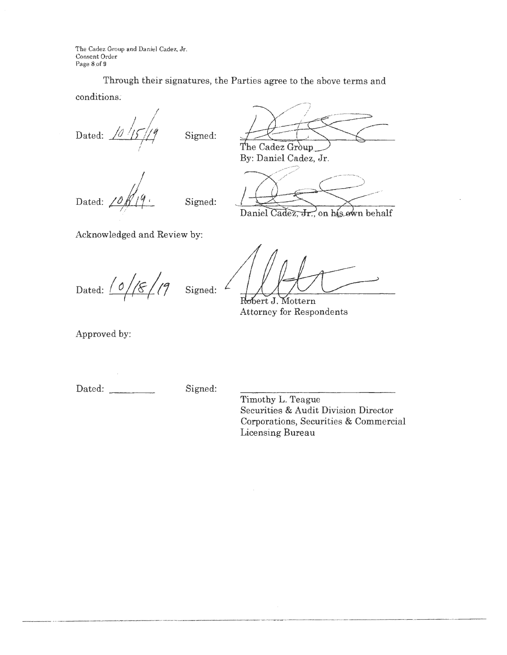The Cadez Group and Daniel Cadez, Jr. Consent Order Page 8 of 9

Through their signatures, the Parties agree to the above terms and conditions;

Dated: *<sup>µ</sup>1,-/,* I~, *I* 

Signed:

Dated: *I* 

Signed:

The Cadez Group By: Daniel Cadez, Jr.

Daniel Cadez, Jr., on his own behalf

Acknowledged and Review by:

Dated:  $\frac{1}{8}/19$  Signed: 4

Robert J. Mottern Attorney for Respondents

Approved by:

Dated: Signed:

Timothy L. Teague Securities & Audit Division Director Corporations, Securities & Commercial Licensing Bureau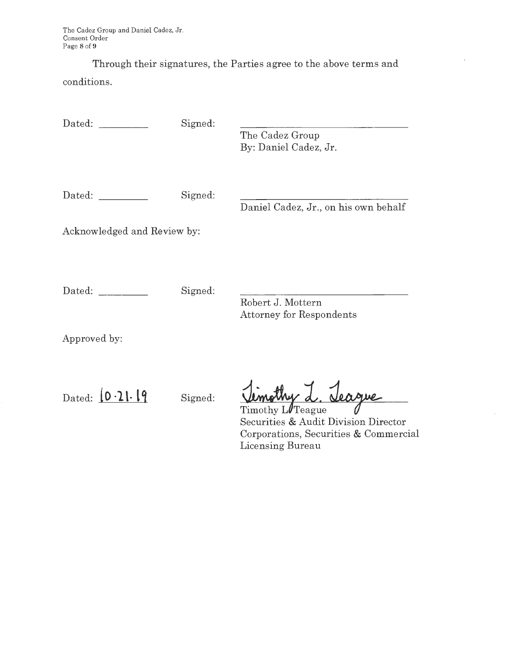The Cadez Group and Daniel Cadez, Jr. Consent Order Page **8** of **9** 

Through their signatures, the Parties agree to the above terms and conditions.

Dated: Signed: Dated: Signed: Acknowledged and Review by: Dated: Signed: Approved by: Dated:  $\boxed{0.21.19}$  Signed: The Cadez Group By: Daniel Cadez, Jr. Daniel Cadez, Jr., on his own behalf Robert J. Mottern Attorney for Respondents <u>Jimothy L. Jeague</u> Securities & Audit Division Director Corporations, Securities & Commercial Licensing Bureau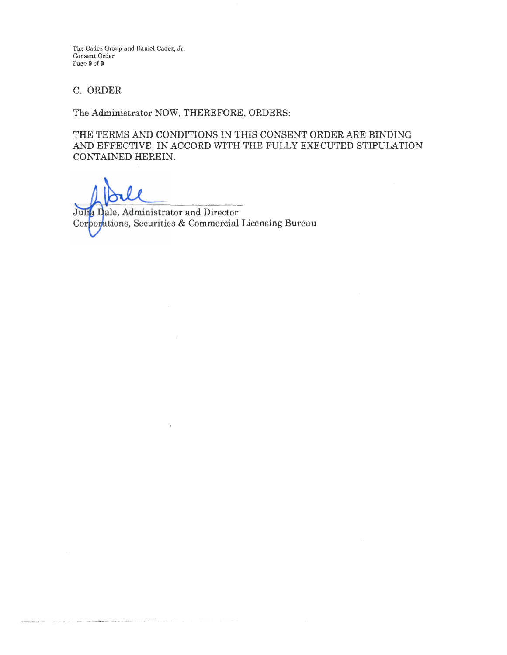The Cadez Group and Daniel Cadez, Jr. Consent Order Puge 9 of 9

## C. ORDER

The Administrator NOW, THEREFORE, ORDERS:

THE TERMS AND CONDITIONS IN THIS CONSENT ORDER ARE BINDING AND EFFECTIVE, IN ACCORD WITH THE FULLY EXECUTED STIPULATION CONTAINED HEREIN.

Julia Dale, Administrator and Director Corporations, Securities & Commercial Licensing Bureau

 $\sim$ 

 $\label{eq:3.1} \begin{minipage}{0.9\textwidth} \begin{minipage}{0.9\textwidth} \begin{itemize} \color{blue}{\textbf{1}} & \color{blue}{\textbf{1}} & \color{blue}{\textbf{1}} & \color{blue}{\textbf{1}} & \color{blue}{\textbf{1}} & \color{blue}{\textbf{1}} & \color{blue}{\textbf{1}} & \color{blue}{\textbf{1}} & \color{blue}{\textbf{1}} & \color{blue}{\textbf{1}} & \color{blue}{\textbf{1}} & \color{blue}{\textbf{1}} & \color{blue}{\textbf{1}} & \color{blue}{\textbf{1}} & \color{blue}{\textbf{$ 

**Contract Contractor**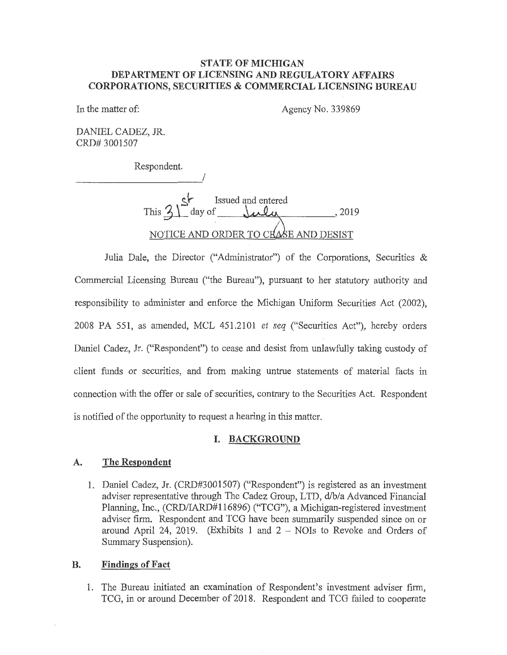#### **STATE OF MICHIGAN DEPARTMENT OF LICENSING AND REGULATORY AFFAIRS CORPORATIONS, SECURITIES & COMMERCIAL LICENSING BUREAU**

In the matter of:

Agency No. 339869

DANIEL CADEZ, JR. CRD# 3001507

Respondent.

I

**~J-** Issued and entered  $\frac{3}{2}$  day of  $\frac{1}{2}$ , 2019 NOTICE AND ORDER TO CHASE AND DESIST

Julia Dale, the Director ("Administrator") of the Corporations, Securities & Commercial Licensing Bureau ("the Bureau"), pursuant to her statutory authority and responsibility to administer and enforce the Michigan Uniform Securities Act (2002), 2008 PA 551, as amended, MCL 451.2101 *et seq* ("Securities Act"), hereby orders Daniel Cadez, Jr. ("Respondent") to cease and desist from unlawfully taking custody of client funds or securities, and from making untrue statements of material facts in connection with the offer or sale of securities, contrary to the Securities Act. Respondent is notified of the opportunity to request a hearing in this matter.

### **I. BACKGROUND**

### **A. The Respondent**

1. Daniel Cadez, Jr. (CRD#3001507) ("Respondent") is registered as an investment adviser representative through The Cadez Group, LTD, d/b/a Advanced Financial Planning, Inc., (CRD/IARD#116896) ("TCG"), a Michigan-registered investment adviser firm. Respondent and TCG have been summarily suspended since on or around April 24, 2019. (Exhibits 1 and  $2 -$  NOIs to Revoke and Orders of Summary Suspension).

#### **B. Findings of Fact**

1. The Bureau initiated an examination of Respondent's investment adviser firm, TCG, in or around December of 2018. Respondent and TCG failed to cooperate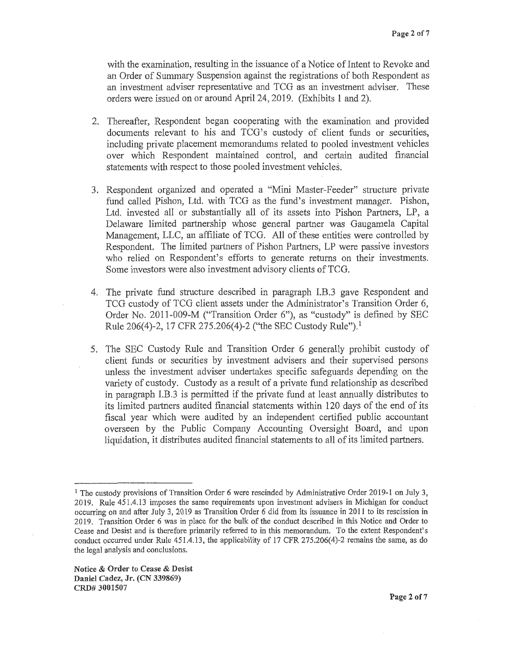with the examination, resulting in the issuance of a Notice of Intent to Revoke and an Order of Summary Suspension against the registrations of both Respondent as an investment adviser representative and TCG as an investment adviser. These orders were issued on or around April 24, 2019. (Exhibits 1 and 2).

- 2. Thereafter, Respondent began cooperating with the examination and provided documents relevant to his and TCG's custody of client funds or securities, including private placement memorandums related to pooled investment vehicles over which Respondent maintained control, and certain audited financial statements with respect to those pooled investment vehicles.
- 3. Respondent organized and operated a "Mini Master-Feeder" structure private fund called Pishon, Ltd. with TCG as the fund's investment manager. Pishon, Ltd. invested all or substantially all of its assets into Pishon Partners, LP, a Delaware limited partnership whose general partner was Gaugamela Capital Management, LLC, an affiliate of TCG. All of these entities were controlled by Respondent. The limited partners of Pishon Partners, LP were passive investors who relied on Respondent's efforts to generate returns on their investments. Some investors were also investment advisory clients of TCG.
- 4. The private fund strncture described in paragraph I.B.3 gave Respondent and TCG custody of TCG client assets under the Administrator's Transition Order 6, Order No. 2011-009-M ("Transition Order 6"), as "custody" is defined by SEC Rule 206(4)-2, 17 CFR275.206(4)-2 ("the SEC Custody Rule"). <sup>1</sup>
- 5. The SEC Custody Rule and Transition Order 6 generally prohibit custody of client funds or securities by investment advisers and their supervised persons unless the investment adviser undertakes specific safeguards depending on the variety of custody. Custody as a result of a private fund relationship as described in paragraph I.B.3 is permitted if the private fund at least annually distributes to its limited partners audited financial statements within 120 days of the end of its fiscal year which were audited by an independent certified public accountant overseen by the Public Company Accounting Oversight Board, and upon liquidation, it distributes audited financial statements to all of its limited partners.

<sup>1</sup> The custody provisions of Transition Order *6* were rescinded by Administrative Order 2019-1 on July 3, 2019. Rule 451.4.13 imposes the same requirements upon investment advisers in Michigan for conduct occurring on and after July 3, 2019 as Transition Order *6* did from its issuance in 2011 to its rescission in 2019. Transition Order 6 was in place for the bulk of the conduct described in this Notice and Order to Cease and Desist and is therefore primarily referred to in this memorandum. To the extent Respondent's conduct occurred under Rule 451.4.13, the applicability of 17 CFR 275.206(4)-2 remains the same, as do the legal analysis and conclusions.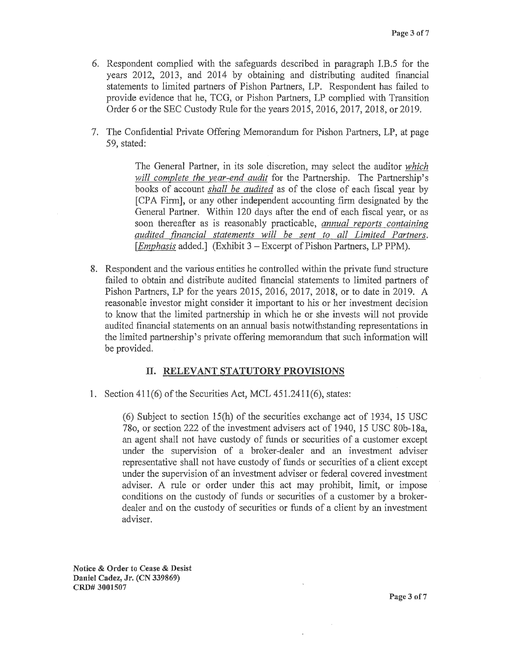- 6, Respondent complied with the safeguards described in paragraph I.B.5 for the years 2012, 2013, and 2014 by obtaining and distributing audited financial statements to limited partners of Pishon Partners, LP. Respondent has failed to provide evidence that he, TCG, or Pishon Partners, LP complied with Transition Order 6 or the SEC Custody Rule for the years 2015, 2016, 2017, 2018, or 2019.
- 7. The Confidential Private Offering Memorandum for Pishon Partners, LP, at page 59, stated:

The General Partner, in its sole discretion, may select the auditor *which will complete the year-end audit* for the Partnership. The Partnership's books of account *shall be audited* as of the close of each fiscal year by [CPA Firm], or any other independent accounting firm designated by the General Partner. Within 120 days after the end of each fiscal year, or as soon thereafter as is reasonably practicable, *annual reports containing audited financial statements will be sent to all Limited Partners.*  [*Emphasis* added.] (Exhibit 3 – Excerpt of Pishon Partners, LP PPM).

8. Respondent and the various entities he controlled within the private fund structure failed to obtain and distribute audited financial statements to limited partners of Pishon Partners, LP for the years 2015, 2016, 2017, 2018, or to date in 2019. A reasonable investor might consider it important to his or her investment decision to know that the limited partnership *in* which he or she invests will not provide audited financial statements on an annual basis notwithstanding representations in the limited partnership's private offering memorandum that such information will be provided.

## II. **RELEVANT STATUTORY PROVISIONS**

1. Section 411(6) of the Securities Act, MCL 451.2411(6), states:

(6) Subject to section 15(h) of the securities exchange act of 1934, 15 USC 780, or section 222 of the investment advisers act of 1940, 15 USC 80b-18a, an agent shall not have custody of funds or securities of a customer except under the supervision of a broker-dealer and an investment adviser representative shall not have custody of funds or securities of a client except under the supervision of an investment adviser or federal covered investment adviser. A rule or order under this act may prohibit, limit, or impose conditions on the custody of funds or securities of a customer by a brokerdealer and on the custody of securities or funds of a client by an investment adviser.

**Notice** & **Order to Cease** & **Desist Daniel Cadez, Jr. (CN 339869) CRD# 3001507**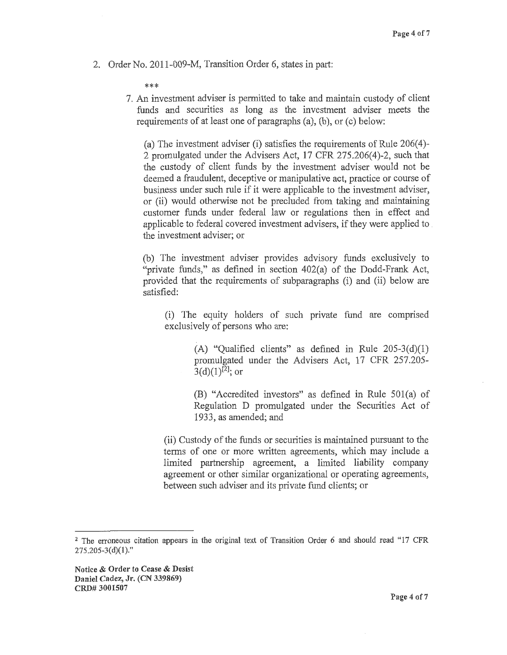2. Order No. 2011-009-M, Transition Order 6, states in part:

\*\*\*

7. An investment adviser is permitted to take and maintain custody of client funds and securities as long as the investment adviser meets the requirements of at least one of paragraphs (a), (b), or (c) below:

(a) The investment adviser (i) satisfies the requirements of Rule  $206(4)$ -2 promulgated under the Advisers Act, 17 CFR 275.206(4)-2, such that the custody of client funds by the investment adviser would not be deemed a fraudulent, deceptive or manipulative act, practice or course of business under such rule if it were applicable to the investment adviser, or (ii) would otherwise not be precluded from taking and maintaining customer funds under federal law or regulations then in effect and applicable to federal covered investment advisers, if they were applied to the investment adviser; or

(b) The investment adviser provides advisory funds exclusively to "private funds," as defined in section 402(a) of the Dodd-Frank Act, provided that the requirements of subparagraphs (i) and (ii) below are satisfied:

(i) The equity holders of such private fund are comprised exclusively of persons who are:

> (A) "Qualified clients" as defined in Rule  $205-3(d)(1)$ promulgated under the Advisers Act, 17 CPR 257.205-  $3(d)(1)^{[2]}$ ; or

> (B) "Accredited investors" as defined in Rule 50l(a) of Regulation D promulgated under the Securities Act of 1933, as amended; and

(ii) Custody of the funds or securities is maintained pursuant to the terms of one or more written agreements, which may include a limited partnership agreement, a limited liability company agreement or other similar organizational or operating agreements, between such adviser and its private fund clients; or

<sup>2</sup>The erroneous citation appears in the original text of Transition Order 6 and should read "17 CFR  $275.205 - 3(d)(1)$ ."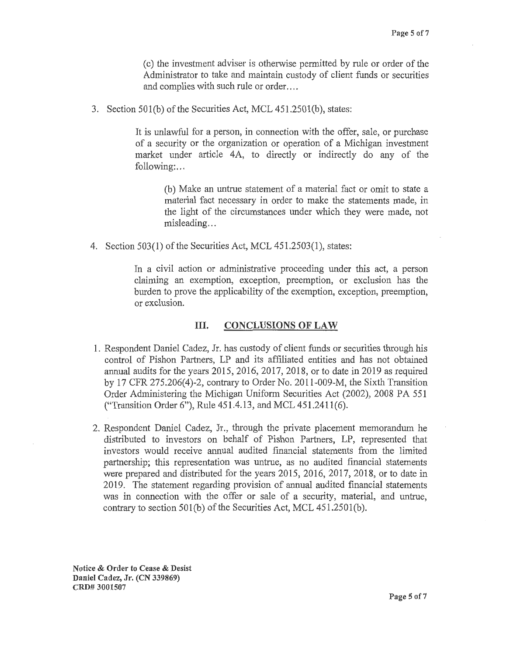( c) the investment adviser is otherwise permitted by rule or order of the Administrator to take and maintain custody of client funds or securities and complies with such rule or order....

3. Section 501(b) of the Securities Act, MCL 451.2501(b), states:

It is unlawful for a person, in connection with the offer, sale, or purchase of a security or the organization or operation of a Michigan investment market under article 4A, to directly or indirectly do any of the following:...

(b) Make an untrue statement of a material fact or omit to state a material fact necessary in order to make the statements made, in the light of the circumstances under which they were made, not misleading...

4. Section 503(1) of the Securities Act, MCL 451.2503(1), states:

In a civil action or administrative proceeding under this act, a person claiming an exemption, exception, preemption, or exclusion has the burden to prove the applicability of the exemption, exception, preemption, or exclusion.

#### III. **CONCLUSIONS OF LAW**

- 1. Respondent Daniel Cadez, Jr. has custody of client funds or securities through his control of Pishon Partners, LP and its affiliated entities and has not obtained annual audits for the years 2015, 2016, 2017, 2018, or to date in 2019 as required by 17 CFR 275.206(4)-2, contrary to Order No. 2011-009-M, the Sixth Transition Order Administering the Michigan Uniform Securities Act (2002), 2008 PA 551 ("Transition Order 6"), Rule 451.4.13, and MCL 451.2411(6).
- 2. Respondent Daniel Cadez, Jr., through the private placement memorandum he distributed to investors on behalf of Pishon Partners, LP, represented that investors would receive annual audited financial statements from the limited partnership; this representation was untrue, as no audited financial statements were prepared and distributed for the years 2015, 2016, 2017, 2018, or to date in 2019. The statement regarding provision of annual audited financial statements was in connection with the offer or sale of a security, material, and untrue, contrary to section  $501(b)$  of the Securities Act, MCL  $451.2501(b)$ .

**Notice** & **Order to Cease** & **Desist Daniel Cadez, Jr. (CN 339869} CRD# 3001507**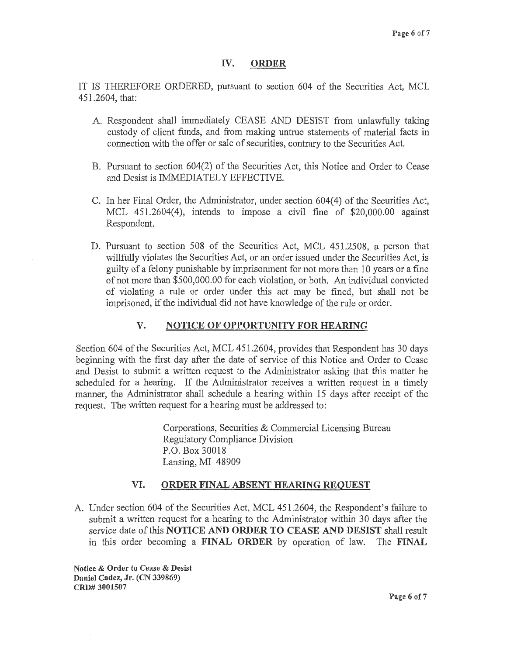#### **IV. ORDER**

IT IS THEREFORE ORDERED, pursuant to section 604 of the Securities Act, MCL 451.2604, that:

- A. Respondent shall immediately CEASE AND DESIST from unlawfully taking custody of client funds, and from making untrue statements of material facts in connection with the offer or sale of securities, contrary to the Securities Act.
- B. Pursuant to section 604(2) of the Securities Act, this Notice and Order to Cease and Desist is IMMEDIATELY EFFECTIVE.
- C. In her Final Order, the Administrator, under section 604(4) of the Securities Act, MCL 451.2604(4), intends to impose a civil fine of \$20,000.00 against Respondent.
- D. Pursuant to section 508 of the Securities Act, MCL 451.2508, a person that willfully violates the Securities Act, or an order issued under the Securities Act, is guilty of a felony punishable by imprisonment for not more than 10 years or a fine of not more than \$500,000.00 for each violation, or both. An individual convicted of violating a rule or order under this act may be fined, but shall not be imprisoned, if the individual did not have knowledge of the rule or order.

## **V. NOTICE OF OPPORTUNITY FOR HEARING**

Section 604 of the Securities Act, MCL 451.2604, provides that Respondent has 30 days beginning with the first day after the date of service of this Notice and Order to Cease and Desist to submit a written request to the Administrator asking that this matter be scheduled for a hearing. If the Administrator receives a written request in a timely manner, the Administrator shall schedule a hearing within 15 days after receipt of the request. The written request for a hearing must be addressed to:

> Corporations, Securities & Commercial Licensing Bureau Regulatory Compliance Division P.O. Box 30018 Lansing, MI 48909

### **VI. ORDER FINAL ABSENT HEARING REQUEST**

A. Under section 604 of the Securities Act, MCL 451.2604, the Respondent's failure to submit a written request for a hearing to the Administrator within 30 days after the service date of this **NOTICE AND ORDER TO CEASE AND DESIST** shall result in this order becoming a **FINAL ORDER** by operation of law. The **FINAL** 

**Notice** & **Order to Cease** & **Desist Daniel Cadez, Jr. (CN 339869) CRD# 3001507**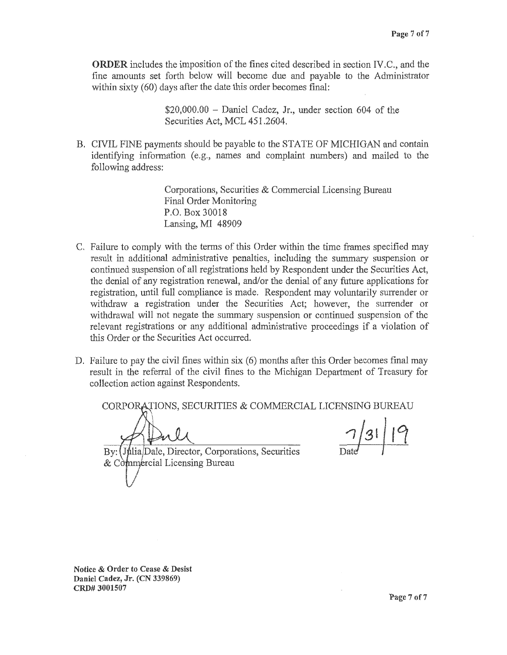**ORDER** includes the imposition of the fines cited described in section IV.C., and the fine amounts set forth below will become due and payable to the Administrator within sixty (60) days after the date this order becomes final:

> $$20,000.00 - Daniel Cadez, Jr., under section 604 of the$ Securities Act, MCL 451.2604.

B. CIVIL FINE payments should be payable to the STATE OF MICHIGAN and contain identifying information (e.g., names and complaint numbers) and mailed to the following address:

> Corporations, Securities & Commercial Licensing Bureau Final Order Monitoring P.O. Box 30018 Lansing, MI 48909

- C. Failure to comply with the terms of this Order within the time frames specified may result in additional administrative penalties, including the summary suspension or continued suspension of all registrations held by Respondent under the Securities Act, the denial of any registration renewal, and/or the denial of any future applications for registration, until full compliance is made. Respondent may voluntarily surrender or withdraw a registration under the Securities Act; however, the surrender or withdrawal will not negate the summary suspension or continued suspension of the relevant registrations or any additional administrative proceedings if a violation of this Order or the Securities Act occurred.
- D. Failure to pay the civil fines within six (6) months after this Order becomes final may result in the referral of the civil fines to the Michigan Department of Treasury for collection action against Respondents.

CORPORATIONS, SECURITIES & COMMERCIAL LICENSING BUREAU  $7/31/19$ By: *Julia/Dale, Director, Corporations, Securities*  $& C\_{mm}\acute{e}r$  cial Licensing Bureau

**Notice** & **Order to Cease** & **Desist Daniel Cadez, Jr. (CN 339869) CRD# 3001507**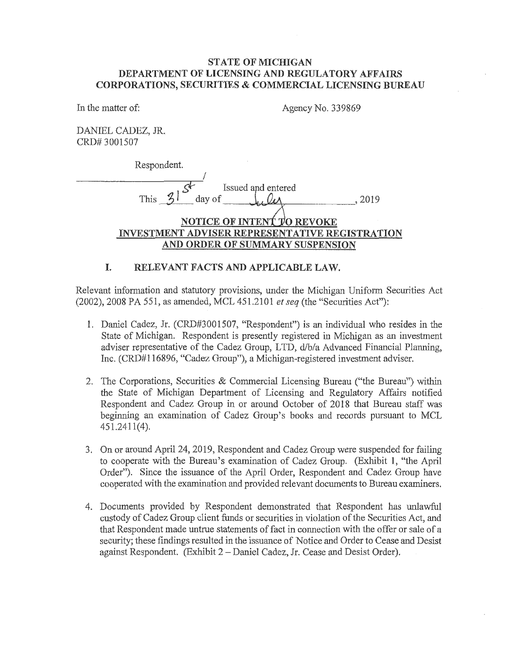### **STATE OF MICHIGAN DEPARTMENT OF LICENSING AND REGULATORY AFFAIRS CORPORATIONS, SECURITIES & COMMERCIAL LICENSING BUREAU**

In the matter of:

Agency No. 339869

DANIEL CADEZ, JR CRD# 3001507

Respondent.

I  $\mathbf{r}$ Issued and entered  $T_{\text{rms}}$   $\frac{3!}{2!}$  day of  $\frac{1}{2!}$   $\frac{1}{2!}$   $\frac{1}{2!}$   $\frac{1}{2!}$ **NOTICE OF INTENT TO REVOKE INVESTMENT ADVISER REPRESENTATIVE REGISTRATION AND ORDER OF SUMMARY SUSPENSION** 

## **I. RELEVANT FACTS AND APPLICABLE LAW.**

Relevant information and statutory provisions, under the Michigan Uniform Securities Act (2002), 2008 PA 551, as amended, MCL 451.2101 *et seq* (the "Securities Act"):

- 1. Daniel Cadez, Jr. (CRD#3001507, "Respondent") is an individual who resides in the State of Michigan. Respondent is presently registered in Michigan as an investment adviser representative of the Cadez Group, LTD, d/b/a Advanced Financial Planning, Inc. (CRD#l 16896, "Cadez Group"), a Michigan~registered investment adviser.
- 2. The Corporations, Securities & Commercial Licensing Bureau ("the Bureau") within the State of Michigan Department of Licensing and Regulatory Affairs notified Respondent and Cadez Group in or around October of 2018 that Bureau staff was beginning an examination of Cadez Group's books and records pursuant to MCL 451.2411(4).
- 3. On or around April 24, 2019, Respondent and Cadez Group were suspended for failing to cooperate with the Bureau's examination of Cadez Group. (Exhibit **1,** "the April Order"). Since the issuance of the April Order, Respondent and Cadez Group have cooperated with the examination and provided relevant documents to Bureau examiners.
- 4. Documents provided by Respondent demonstrated that Respondent has unlawful custody of Cadez Group client funds or securities in violation of the Securities Act, and that Respondent made untrue statements of fact in connection with the offer or sale of a security; these findings resulted in the issuance of Notice and Order to Cease and Desist against Respondent. (Exhibit 2-Daniel Cadez, Jr. Cease and Desist Order).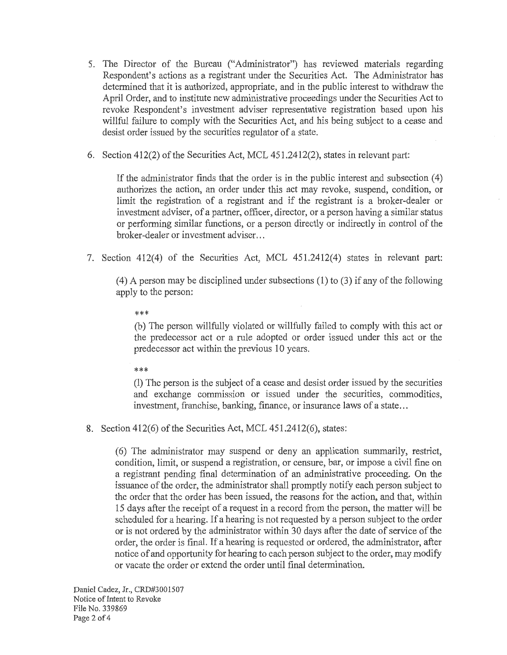- 5. The Director of the Bureau ("Administrator") has reviewed materials regarding Respondent's actions as a registrant under the Securities Act. The Administrator has determined that it is authorized, appropriate, and in the public interest to withdraw the April Order, and to institute new administrative proceedings under the Securities Act to revoke Respondent's investment adviser representative registration based upon his willful failure to comply with the Securities Act, and his being subject to a cease and desist order issued by the securities regulator of a state.
- 6. Section 412(2) of the Securities Act, MCL 451.2412(2), states in relevant part:

If the administrator finds that the order is in the public interest and subsection (4) authorizes the action, an order under this act may revoke, suspend, condition, or limit the registration of a registrant and if the registrant is a broker-dealer or investment adviser, of a partner, officer, director, or a person having a similar status or performing similar functions, or a person directly or indirectly in control of the broker-dealer or investment adviser ...

7. Section 412(4) of the Securities Act, MCL 451.2412(4) states in relevant part:

( 4) A person may be disciplined under subsections (1) to (3) if any of the following apply to the person:

\*\*\*

(b) The person willfully violated or willfully failed to comply with this act or the predecessor act or a rule adopted or order issued under this act or the predecessor act within the previous 10 years.

\*\*\*

(1) The person is the subject of a cease and desist order issued by the securities and exchange commission or issued under the securities, commodities, investment, franchise, banking, finance, or insurance laws of a state...

8. Section 412(6) of the Securities Act, MCL 451.2412(6), states:

(6) The administrator may suspend or deny an application summarily, restrict, condition, limit, or suspend a registration, or censure, bar, or impose a civil fine on a registrant pending final determination of an administrative proceeding. On the issuance of the order, the administrator shall promptly notify each person subject to the order that the order has been issued, the reasons for the action, and that, within 15 days after the receipt of a request in a record from the person, the matter will be scheduled for a hearing. If a hearing is not requested by a person subject to the order or is not ordered by the administrator within 30 days after the date of service of the order, the order is final. If a hearing is requested or ordered, the administrator, after notice of and opportunity for hearing to each person subject to the order, may modify or vacate the order or extend the order until final determination.

Daniel Cadez, Jr., CRD#3001507 Notice of Intent to Revoke File No. 339869 Page 2 of 4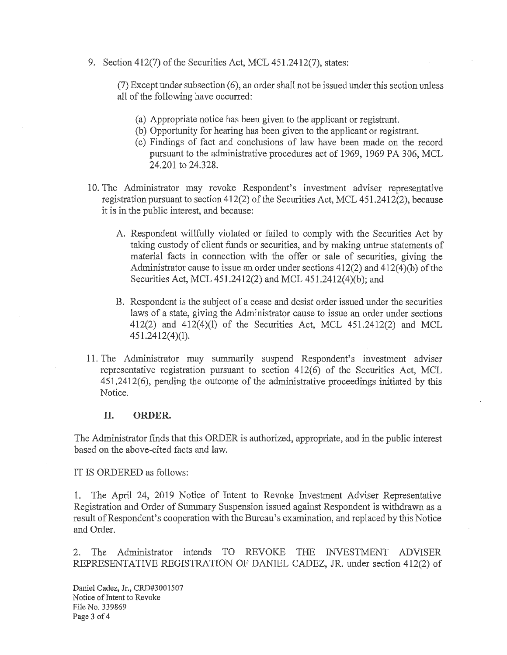9. Section 412(7) of the Securities Act, MCL 451.2412(7), states:

(7) Except under subsection ( 6), an order shall not be issued under this section unless all of the following have occurred:

- (a) Appropriate notice has been given to the applicant or registrant.
- (b) Opportunity for hearing has been given to the applicant or registrant.
- ( c) Findings of fact and conclusions of law have been made on the record pursuant to the administrative procedures act of 1969, 1969 PA 306, MCL 24.201 to 24.328.
- 10. The Administrator may revoke Respondent's investment adviser representative registration pursuant to section 412(2) of the Securities Act, MCL 451.2412(2), because it is in the public interest, and because:
	- A. Respondent willfully violated or failed to comply with the Securities Act by taking custody of client funds or securities, and by making untrue statements of material facts in connection with the offer or sale of securities, giving the Administrator cause to issue an order under sections  $412(2)$  and  $412(4)(b)$  of the Securities Act, MCL 451.2412(2) and MCL 451.2412(4)(b); and
	- B. Respondent is the subject of a cease and desist order issued under the securities laws of a state, giving the Administrator cause to issue an order under sections 412(2) and 412(4)(1) of the Securities Act, MCL 451.2412(2) and MCL  $451.2412(4)(1)$ .
- 11. The Administrator may summarily suspend Respondent's investment adviser representative registration pursuant to section 412(6) of the Securities Act, MCL 451.2412(6), pending the outcome of the administrative proceedings initiated by this Notice.

### II. **ORDER.**

The Administrator finds that this ORDER is authorized, appropriate, and in the public interest based on the above~cited facts and law.

IT IS ORDERED as follows:

1. The April 24, 2019 Notice of Intent to Revoke Investment Adviser Representative Registration and Order of Summary Suspension issued against Respondent is withdrawn as a result of Respondent's cooperation with the Bureau's examination, and replaced by this Notice and Order.

2. The Administrator intends TO REVOKE THE INVESTMENT ADVISER REPRESENTATIVE REGISTRATION OF DANIEL CADEZ, JR. under section 412(2) of

Daniel Cadez, Jr., CRD#3001507 Notice of Intent to Revoke File No. 339869 Page 3 of 4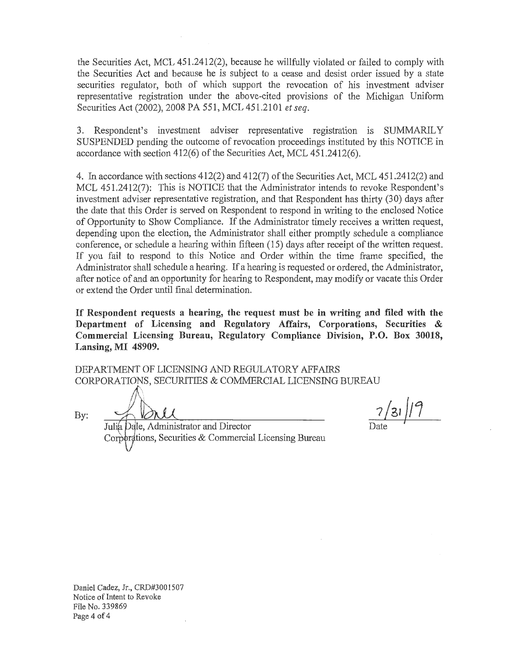the Securities Act, MCL 451.2412(2), because he willfully violated or failed to comply with the Securities Act and because he is subject to a cease and desist order issued by a state securities regulator, both of which support the revocation of his investment adviser representative registration under the above-cited provisions of the Michigan Uniform Securities Act (2002), 2008 PA 551, MCL 451.2101 *et seq.* 

3. Respondent's investment adviser representative registration is SUMMARILY SUSPENDED pending the outcome of revocation proceedings instituted by this NOTICE in accordance with section 412(6) of the Securities Act, MCL 451.2412(6).

4. In accordance with sections 412(2) and 412(7) of the Securities Act, MCL 451.2412(2) and MCL 451.2412(7): This is NOTICE that the Administrator intends to revoke Respondent's investment adviser representative registration, and that Respondent has thirty (30) days after the date that this Order is served on Respondent to respond in writing to the enclosed Notice of Opportunity to Show Compliance. If the Administrator timely receives a written request, depending upon the election, the Administrator shall either promptly schedule a compliance conference, or schedule a hearing within fifteen ( 15) days after receipt of the written request. If you fail to respond to this Notice and Order within the time frame specified, the Administrator shall schedule a hearing. If a hearing is requested or ordered, the Administrator, after notice of and an opportunity for hearing to Respondent, may modify or vacate this Order or extend the Order until final determination.

**If Respondent requests a hearing, the request must be in writing and filed with the Department of Licensing and Regulatory Affairs, Corporations, Securities** & **Commercial Licensing Bureau, Regulatory Compliance Division, P.O. Box 30018, Lansing, MI 48909.** 

DEPARTMENT OF LICENSING AND REGULATORY AFFAIRS CORPORATIONS, SECURITIES & COMMERCIAL LICENSING BUREAU  $\bigwedge$ 

By: <u>Ilau</u> 1/31/19

Julia Dale, Administrator and Director Corporations, Securities & Commercial Licensing Bureau

Daniel Cadez, Jr., CRD#3001507 Notice of Intent to Revoke File No. 339869 Page 4 of 4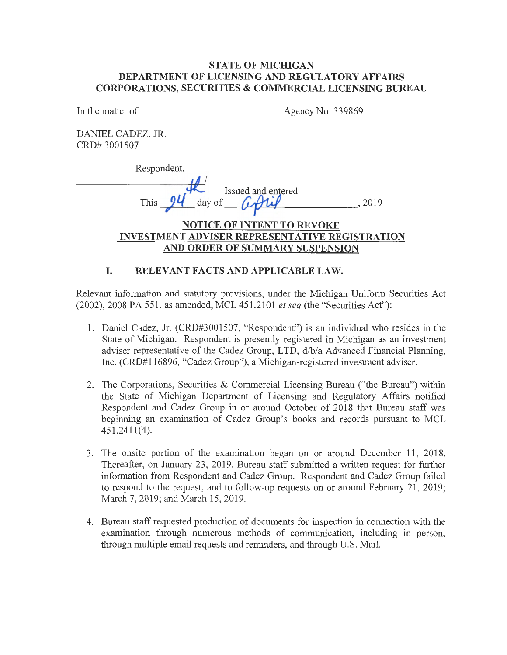### **STATE OF MICHIGAN DEPARTMENT OF LICENSING AND REGULATORY AFFAIRS CORPORATIONS, SECURITIES & COMMERCIAL LICENSING BUREAU**

In the matter of:

Agency No. 339869

DANIEL CADEZ, JR. CRD# 3001507

Respondent.

This *ju* aay of *Latter Built 15 and the state of the state of*  $\theta$  *, 2019* 

## **NOTICE OF INTENT TO REVOKE INVESTMENT ADVISER REPRESENTATIVE REGISTRATION AND ORDER OF SUMMARY SUSPENSION**

## **I. RELEVANT FACTS AND APPLICABLE LAW.**

Relevant information and statutory provisions, under the Michigan Uniform Securities Act (2002), 2008 PA 551, as amended, MCL 451.2101 *et seq* (the "Securities Act"):

- 1. Daniel Cadez, Jr. (CRD#3001507, "Respondent") is an individual who resides in the State of Michigan. Respondent is presently registered in Michigan as an investment adviser representative of the Cadez Group, LTD, d/b/a Advanced Financial Planning, Inc. (CRD#l 16896, "Cadez Group"), a Michigan-registered investment adviser.
- 2. The Corporations, Securities & Commercial Licensing Bureau ("the Bureau") within the State of Michigan Department of Licensing and Regulatory Affairs notified Respondent and Cadez Group in or around October of 2018 that Bureau staff was beginning an examination of Cadez Group's books and records pursuant to MCL  $451.2411(4)$ .
- 3. The onsite portion of the examination began on or around December 11, 2018. Thereafter, on January 23, 2019, Bureau staff submitted a written request for further information from Respondent and Cadez Group. Respondent and Cadez Group failed to respond to the request, and to follow-up requests on or around February 21, 2019; March 7, 2019; and March 15, 2019.
- 4. Bureau staff requested production of documents for inspection in connection with the examination through numerous methods of communication, including in person, through multiple email requests and reminders, and through U.S. Mail.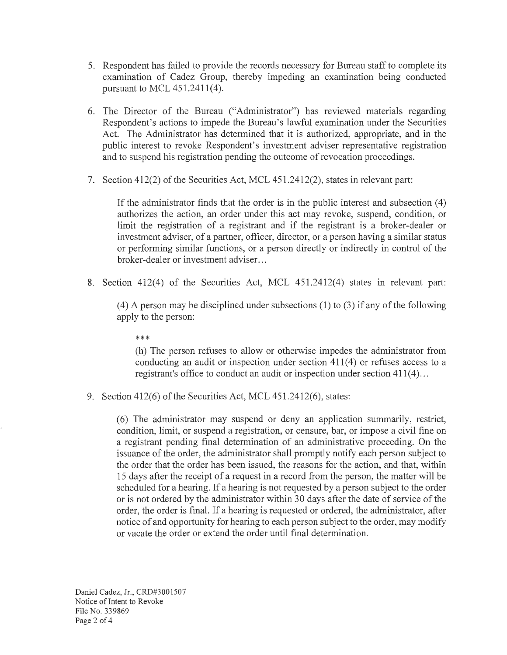- 5. Respondent has failed to provide the records necessary for Bureau staff to complete its examination of Cadez Group, thereby impeding an examination being conducted pursuant to MCL 451.2411(4).
- 6. The Director of the Bureau ("Administrator") has reviewed materials regarding Respondent's actions to impede the Bureau's lawful examination under the Securities Act. The Administrator has determined that it is authorized, appropriate, and in the public interest to revoke Respondent's investment adviser representative registration and to suspend his registration pending the outcome of revocation proceedings.
- 7. Section 412(2) of the Securities Act, MCL 451.2412(2), states in relevant part:

If the administrator finds that the order is in the public interest and subsection (4) authorizes the action, an order under this act may revoke, suspend, condition, or limit the registration of a registrant and if the registrant is a broker-dealer or investment adviser, of a partner, officer, director, or a person having a similar status or performing similar functions, or a person directly or indirectly in control of the broker-dealer or investment adviser. ..

8. Section 412(4) of the Securities Act, MCL 451.2412(4) states in relevant part:

(4) A person may be disciplined under subsections (1) to (3) if any of the following apply to the person:

\*\*\*

(h) The person refuses to allow or otherwise impedes the administrator from conducting an audit or inspection under section 411(4) or refuses access to a registrant's office to conduct an audit or inspection under section  $411(4)$ ...

9. Section 412(6) of the Securities Act, MCL 451.2412(6), states:

(6) The administrator may suspend or deny an application summarily, restrict, condition, limit, or suspend a registration, or censure, bar, or impose a civil fine on a registrant pending final determination of an administrative proceeding. On the issuance of the order, the administrator shall promptly notify each person subject to the order that the order has been issued, the reasons for the action, and that, within 15 days after the receipt of a request in a record from the person, the matter will be scheduled for a hearing. If a hearing is not requested by a person subject to the order or is not ordered by the administrator within 30 days after the date of service of the order, the order is final. If a hearing is requested or ordered, the administrator, after notice of and opportunity for hearing to each person subject to the order, may modify or vacate the order or extend the order until final determination.

Daniel Cadez, Jr., CRD#3001507 Notice of Intent to Revoke File No. 339869 Page 2 of 4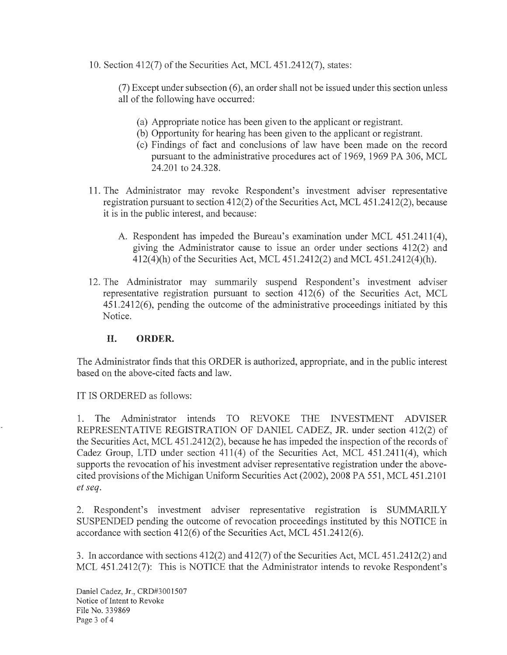10. Section 412(7) of the Securities Act, MCL 45 1.2412(7), states:

(7) Except under subsection ( 6), an order shall not be issued under this section unless all of the following have occurred:

- (a) Appropriate notice has been given to the applicant or registrant.
- (b) Opportunity for hearing has been given to the applicant or registrant.
- ( c) Findings of fact and conclusions of law have been made on the record pursuant to the administrative procedures act of 1969, 1969 PA 306, MCL 24.201 to 24.328.
- 11. The Administrator may revoke Respondent's investment adviser representative registration pursuant to section 412(2) of the Securities Act, MCL 451.2412(2), because it is in the public interest, and because:
	- A. Respondent has impeded the Bureau's examination under MCL 451.2411(4), giving the Administrator cause to issue an order under sections 412(2) and 412(4)(h) of the Securities Act, MCL 451.2412(2) and MCL 451.2412(4)(h).
- 12. The Administrator may summarily suspend Respondent's investment adviser representative registration pursuant to section 412(6) of the Securities Act, MCL 451.2412(6), pending the outcome of the administrative proceedings initiated by this Notice.

## **II. ORDER.**

The Administrator finds that this ORDER is authorized, appropriate, and in the public interest based on the above-cited facts and law.

IT IS ORDERED as follows:

1. The Administrator intends TO REVOKE THE INVESTMENT ADVISER REPRESENTATIVE REGISTRATION OF DANIEL CADEZ, JR. under section 412(2) of the Securities Act, MCL 451.2412(2), because he has impeded the inspection of the records of Cadez Group, LTD under section 411(4) of the Securities Act, MCL 451.2411(4), which supports the revocation of his investment adviser representative registration under the abovecited provisions of the Michigan Uniform Securities Act (2002), 2008 PA 551, MCL 451.2101 *et seq.* 

2. Respondent's investment adviser representative registration is SUMMARILY SUSPENDED pending the outcome of revocation proceedings instituted by this NOTICE in accordance with section  $412(6)$  of the Securities Act, MCL  $451.2412(6)$ .

3. In accordance with sections 412(2) and 412(7) of the Securities Act, MCL 451.2412(2) and MCL 451.2412(7): This is NOTICE that the Administrator intends to revoke Respondent's

Daniel Cadez, Jr., CRD#3001507 Notice of Intent to Revoke File No. 339869 Page 3 of 4